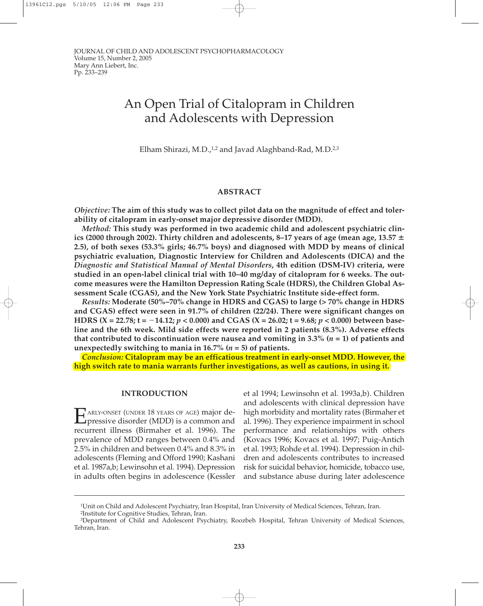# An Open Trial of Citalopram in Children and Adolescents with Depression

Elham Shirazi, M.D.,<sup>1,2</sup> and Javad Alaghband-Rad, M.D.<sup>2,3</sup>

## **ABSTRACT**

*Objective:* **The aim of this study was to collect pilot data on the magnitude of effect and tolerability of citalopram in early-onset major depressive disorder (MDD).**

*Method:* **This study was performed in two academic child and adolescent psychiatric clinics (2000 through 2002). Thirty children and adolescents, 8–17 years of age (mean age, 13.57 2.5), of both sexes (53.3% girls; 46.7% boys) and diagnosed with MDD by means of clinical psychiatric evaluation, Diagnostic Interview for Children and Adolescents (DICA) and the** *Diagnostic and Statistical Manual of Mental Disorders***, 4th edition (DSM-IV) criteria, were studied in an open-label clinical trial with 10–40 mg/day of citalopram for 6 weeks. The outcome measures were the Hamilton Depression Rating Scale (HDRS), the Children Global Assessment Scale (CGAS), and the New York State Psychiatric Institute side-effect form.**

*Results:* **Moderate (50%–70% change in HDRS and CGAS) to large (> 70% change in HDRS and CGAS) effect were seen in 91.7% of children (22/24). There were significant changes on HDRS** (X = 22.78;  $t = -14.12$ ;  $p < 0.000$ ) and CGAS (X = 26.02;  $t = 9.68$ ;  $p < 0.000$ ) between base**line and the 6th week. Mild side effects were reported in 2 patients (8.3%). Adverse effects that contributed to discontinuation were nausea and vomiting in 3.3% (***n* **= 1) of patients and** unexpectedly switching to mania in 16.7%  $(n = 5)$  of patients.

*Conclusion:* **Citalopram may be an efficatious treatment in early-onset MDD. However, the high switch rate to mania warrants further investigations, as well as cautions, in using it.**

### **INTRODUCTION**

E ARLY-ONSET (UNDER 18 YEARS OF AGE) major depressive disorder (MDD) is a common and recurrent illness (Birmaher et al. 1996). The prevalence of MDD ranges between 0.4% and 2.5% in children and between 0.4% and 8.3% in adolescents (Fleming and Offord 1990; Kashani et al. 1987a,b; Lewinsohn et al. 1994). Depression in adults often begins in adolescence (Kessler

et al 1994; Lewinsohn et al. 1993a,b). Children and adolescents with clinical depression have high morbidity and mortality rates (Birmaher et al. 1996). They experience impairment in school performance and relationships with others (Kovacs 1996; Kovacs et al. 1997; Puig-Antich et al. 1993; Rohde et al. 1994). Depression in children and adolescents contributes to increased risk for suicidal behavior, homicide, tobacco use, and substance abuse during later adolescence

<sup>1</sup>Unit on Child and Adolescent Psychiatry, Iran Hospital, Iran University of Medical Sciences, Tehran, Iran. 2Institute for Cognitive Studies, Tehran, Iran.

<sup>3</sup>Department of Child and Adolescent Psychiatry, Roozbeh Hospital, Tehran University of Medical Sciences, Tehran, Iran.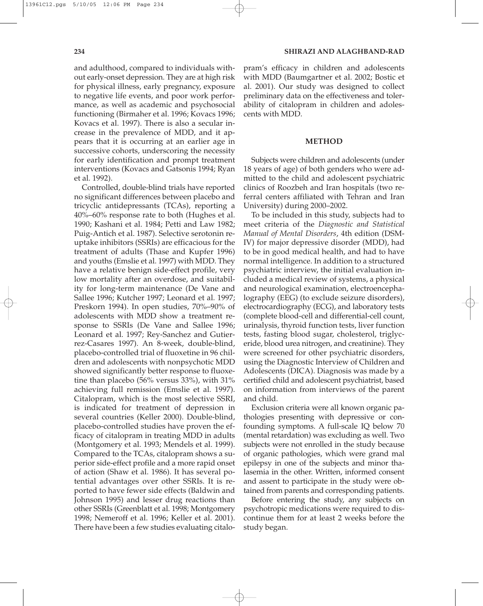and adulthood, compared to individuals without early-onset depression. They are at high risk for physical illness, early pregnancy, exposure to negative life events, and poor work performance, as well as academic and psychosocial functioning (Birmaher et al. 1996; Kovacs 1996; Kovacs et al. 1997). There is also a secular increase in the prevalence of MDD, and it appears that it is occurring at an earlier age in successive cohorts, underscoring the necessity for early identification and prompt treatment interventions (Kovacs and Gatsonis 1994; Ryan et al. 1992).

Controlled, double-blind trials have reported no significant differences between placebo and tricyclic antidepressants (TCAs), reporting a 40%–60% response rate to both (Hughes et al. 1990; Kashani et al. 1984; Petti and Law 1982; Puig-Antich et al. 1987). Selective serotonin reuptake inhibitors (SSRIs) are efficacious for the treatment of adults (Thase and Kupfer 1996) and youths (Emslie et al. 1997) with MDD. They have a relative benign side-effect profile, very low mortality after an overdose, and suitability for long-term maintenance (De Vane and Sallee 1996; Kutcher 1997; Leonard et al. 1997; Preskorn 1994). In open studies, 70%–90% of adolescents with MDD show a treatment response to SSRIs (De Vane and Sallee 1996; Leonard et al. 1997; Rey-Sanchez and Gutierrez-Casares 1997). An 8-week, double-blind, placebo-controlled trial of fluoxetine in 96 children and adolescents with nonpsychotic MDD showed significantly better response to fluoxetine than placebo (56% versus 33%), with 31% achieving full remission (Emslie et al. 1997). Citalopram, which is the most selective SSRI, is indicated for treatment of depression in several countries (Keller 2000). Double-blind, placebo-controlled studies have proven the efficacy of citalopram in treating MDD in adults (Montgomery et al. 1993; Mendels et al. 1999). Compared to the TCAs, citalopram shows a superior side-effect profile and a more rapid onset of action (Shaw et al. 1986). It has several potential advantages over other SSRIs. It is reported to have fewer side effects (Baldwin and Johnson 1995) and lesser drug reactions than other SSRIs (Greenblatt et al. 1998; Montgomery 1998; Nemeroff et al. 1996; Keller et al. 2001). There have been a few studies evaluating citalo-

pram's efficacy in children and adolescents with MDD (Baumgartner et al. 2002; Bostic et al. 2001). Our study was designed to collect preliminary data on the effectiveness and tolerability of citalopram in children and adolescents with MDD.

## **METHOD**

Subjects were children and adolescents (under 18 years of age) of both genders who were admitted to the child and adolescent psychiatric clinics of Roozbeh and Iran hospitals (two referral centers affiliated with Tehran and Iran University) during 2000–2002.

To be included in this study, subjects had to meet criteria of the *Diagnostic and Statistical Manual of Mental Disorders*, 4th edition (DSM-IV) for major depressive disorder (MDD), had to be in good medical health, and had to have normal intelligence. In addition to a structured psychiatric interview, the initial evaluation included a medical review of systems, a physical and neurological examination, electroencephalography (EEG) (to exclude seizure disorders), electrocardiography (ECG), and laboratory tests (complete blood-cell and differential-cell count, urinalysis, thyroid function tests, liver function tests, fasting blood sugar, cholesterol, triglyceride, blood urea nitrogen, and creatinine). They were screened for other psychiatric disorders, using the Diagnostic Interview of Children and Adolescents (DICA). Diagnosis was made by a certified child and adolescent psychiatrist, based on information from interviews of the parent and child.

Exclusion criteria were all known organic pathologies presenting with depressive or confounding symptoms. A full-scale IQ below 70 (mental retardation) was excluding as well. Two subjects were not enrolled in the study because of organic pathologies, which were grand mal epilepsy in one of the subjects and minor thalasemia in the other. Written, informed consent and assent to participate in the study were obtained from parents and corresponding patients.

Before entering the study, any subjects on psychotropic medications were required to discontinue them for at least 2 weeks before the study began.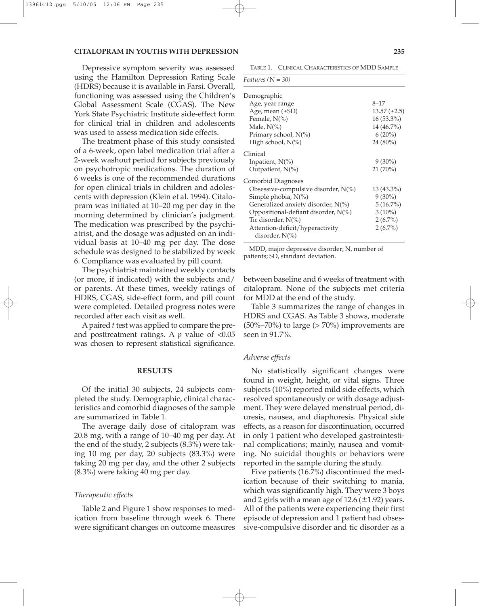#### **CITALOPRAM IN YOUTHS WITH DEPRESSION 235**

Depressive symptom severity was assessed using the Hamilton Depression Rating Scale (HDRS) because it is available in Farsi. Overall, functioning was assessed using the Children's Global Assessment Scale (CGAS). The New York State Psychiatric Institute side-effect form for clinical trial in children and adolescents was used to assess medication side effects.

The treatment phase of this study consisted of a 6-week, open label medication trial after a 2-week washout period for subjects previously on psychotropic medications. The duration of 6 weeks is one of the recommended durations for open clinical trials in children and adolescents with depression (Klein et al. 1994). Citalopram was initiated at 10–20 mg per day in the morning determined by clinician's judgment. The medication was prescribed by the psychiatrist, and the dosage was adjusted on an individual basis at 10–40 mg per day. The dose schedule was designed to be stabilized by week 6. Compliance was evaluated by pill count.

The psychiatrist maintained weekly contacts (or more, if indicated) with the subjects and/ or parents. At these times, weekly ratings of HDRS, CGAS, side-effect form, and pill count were completed. Detailed progress notes were recorded after each visit as well.

A paired *t* test was applied to compare the preand posttreatment ratings. A  $p$  value of  $< 0.05$ was chosen to represent statistical significance.

#### **RESULTS**

Of the initial 30 subjects, 24 subjects completed the study. Demographic, clinical characteristics and comorbid diagnoses of the sample are summarized in Table 1.

The average daily dose of citalopram was 20.8 mg, with a range of 10–40 mg per day. At the end of the study, 2 subjects (8.3%) were taking 10 mg per day, 20 subjects (83.3%) were taking 20 mg per day, and the other 2 subjects (8.3%) were taking 40 mg per day.

### *Therapeutic effects*

Table 2 and Figure 1 show responses to medication from baseline through week 6. There were significant changes on outcome measures

TABLE 1. CLINICAL CHARACTERISTICS OF MDD SAMPLE

| <i>Features</i> ( $N = 30$ )                          |                     |
|-------------------------------------------------------|---------------------|
| Demographic                                           |                     |
| Age, year range                                       | 8–17                |
| Age, mean $(\pm SD)$                                  | $13.57 \ (\pm 2.5)$ |
| Female, $N(\%)$                                       | 16 (53.3%)          |
| Male, $N(\%)$                                         | 14 (46.7%)          |
| Primary school, $N(\%)$                               | $6(20\%)$           |
| High school, N(%)                                     | 24 (80%)            |
| Clinical                                              |                     |
| Inpatient, N(%)                                       | $9(30\%)$           |
| Outpatient, $N(\%)$                                   | $21(70\%)$          |
| Comorbid Diagnoses                                    |                     |
| Obsessive-compulsive disorder, $N(\%)$                | 13 (43.3%)          |
| Simple phobia, $N(\%)$                                | $9(30\%)$           |
| Generalized anxiety disorder, $N(\%)$                 | $5(16.7\%)$         |
| Oppositional-defiant disorder, $N(\%)$                | $3(10\%)$           |
| Tic disorder, N(%)                                    | $2(6.7\%)$          |
| Attention-deficit/hyperactivity<br>disorder, $N(\% )$ | $2(6.7\%)$          |

MDD, major depressive disorder; N, number of patients; SD, standard deviation.

between baseline and 6 weeks of treatment with citalopram. None of the subjects met criteria for MDD at the end of the study.

Table 3 summarizes the range of changes in HDRS and CGAS. As Table 3 shows, moderate  $(50\% - 70\%)$  to large ( $> 70\%$ ) improvements are seen in 91.7%.

#### *Adverse effects*

No statistically significant changes were found in weight, height, or vital signs. Three subjects (10%) reported mild side effects, which resolved spontaneously or with dosage adjustment. They were delayed menstrual period, diuresis, nausea, and diaphoresis. Physical side effects, as a reason for discontinuation, occurred in only 1 patient who developed gastrointestinal complications; mainly, nausea and vomiting. No suicidal thoughts or behaviors were reported in the sample during the study.

Five patients (16.7%) discontinued the medication because of their switching to mania, which was significantly high. They were 3 boys and 2 girls with a mean age of  $12.6 (\pm 1.92)$  years. All of the patients were experiencing their first episode of depression and 1 patient had obsessive-compulsive disorder and tic disorder as a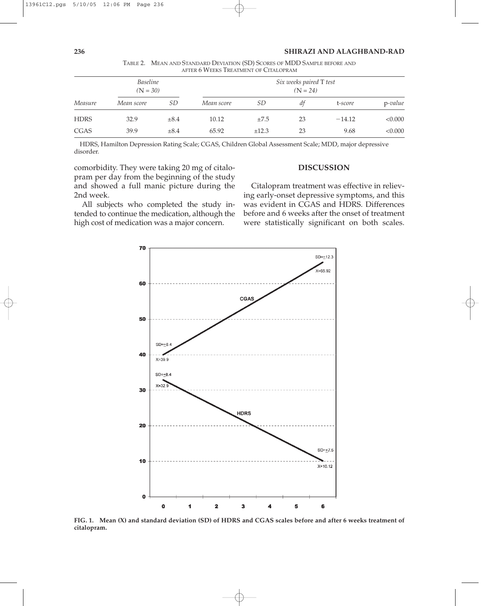|             | AFTER U VVEERS TREATIVIENT OF CHALOI RAIVE |           |                         |           |    |          |            |
|-------------|--------------------------------------------|-----------|-------------------------|-----------|----|----------|------------|
| Measure     | <b>Baseline</b><br>$(N = 30)$              |           | Six weeks paired T test |           |    |          |            |
|             |                                            |           | $(N = 24)$              |           |    |          |            |
|             | Mean score                                 | SD        | Mean score              | <i>SD</i> | dt | t-score  | $p$ -value |
| <b>HDRS</b> | 32.9                                       | $\pm 8.4$ | 10.12                   | $\pm 7.5$ | 23 | $-14.12$ | < 0.000    |
| <b>CGAS</b> | 39.9                                       | $\pm 8.4$ | 65.92                   | ±12.3     | 23 | 9.68     | < 0.000    |

TABLE 2. MEAN AND STANDARD DEVIATION (SD) SCORES OF MDD SAMPLE BEFORE AND AFTER 6 WEEKS TREATMENT OF CITALOPRAM

HDRS, Hamilton Depression Rating Scale; CGAS, Children Global Assessment Scale; MDD, major depressive disorder.

comorbidity. They were taking 20 mg of citalopram per day from the beginning of the study and showed a full manic picture during the 2nd week.

All subjects who completed the study intended to continue the medication, although the high cost of medication was a major concern.

# **DISCUSSION**

Citalopram treatment was effective in relieving early-onset depressive symptoms, and this was evident in CGAS and HDRS. Differences before and 6 weeks after the onset of treatment were statistically significant on both scales.



**FIG. 1. Mean (X) and standard deviation (SD) of HDRS and CGAS scales before and after 6 weeks treatment of citalopram.**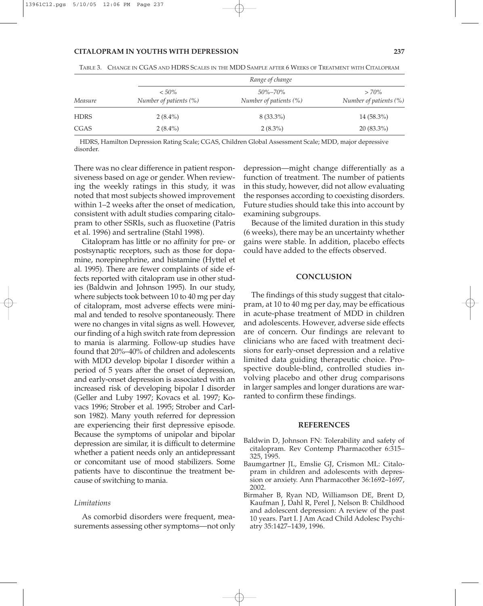#### **CITALOPRAM IN YOUTHS WITH DEPRESSION 237**

| Measure     | Range of change                    |                                         |                                   |  |  |  |
|-------------|------------------------------------|-----------------------------------------|-----------------------------------|--|--|--|
|             | $< 50\%$<br>Number of patients (%) | $50\% - 70\%$<br>Number of patients (%) | $>70\%$<br>Number of patients (%) |  |  |  |
| <b>HDRS</b> | $2(8.4\%)$                         | $8(33.3\%)$                             | $14(58.3\%)$                      |  |  |  |
| <b>CGAS</b> | $2(8.4\%)$                         | $2(8.3\%)$                              | $20(83.3\%)$                      |  |  |  |

TABLE 3. CHANGE IN CGAS AND HDRS SCALES IN THE MDD SAMPLE AFTER 6 WEEKS OF TREATMENT WITH CITALOPRAM

HDRS, Hamilton Depression Rating Scale; CGAS, Children Global Assessment Scale; MDD, major depressive disorder.

There was no clear difference in patient responsiveness based on age or gender. When reviewing the weekly ratings in this study, it was noted that most subjects showed improvement within 1–2 weeks after the onset of medication, consistent with adult studies comparing citalopram to other SSRIs, such as fluoxetine (Patris et al. 1996) and sertraline (Stahl 1998).

Citalopram has little or no affinity for pre- or postsynaptic receptors, such as those for dopamine, norepinephrine, and histamine (Hyttel et al. 1995). There are fewer complaints of side effects reported with citalopram use in other studies (Baldwin and Johnson 1995). In our study, where subjects took between 10 to 40 mg per day of citalopram, most adverse effects were minimal and tended to resolve spontaneously. There were no changes in vital signs as well. However, our finding of a high switch rate from depression to mania is alarming. Follow-up studies have found that 20%–40% of children and adolescents with MDD develop bipolar I disorder within a period of 5 years after the onset of depression, and early-onset depression is associated with an increased risk of developing bipolar I disorder (Geller and Luby 1997; Kovacs et al. 1997; Kovacs 1996; Strober et al. 1995; Strober and Carlson 1982). Many youth referred for depression are experiencing their first depressive episode. Because the symptoms of unipolar and bipolar depression are similar, it is difficult to determine whether a patient needs only an antidepressant or concomitant use of mood stabilizers. Some patients have to discontinue the treatment because of switching to mania.

#### *Limitations*

As comorbid disorders were frequent, measurements assessing other symptoms—not only depression—might change differentially as a function of treatment. The number of patients in this study, however, did not allow evaluating the responses according to coexisting disorders. Future studies should take this into account by examining subgroups.

Because of the limited duration in this study (6 weeks), there may be an uncertainty whether gains were stable. In addition, placebo effects could have added to the effects observed.

#### **CONCLUSION**

The findings of this study suggest that citalopram, at 10 to 40 mg per day, may be efficatious in acute-phase treatment of MDD in children and adolescents. However, adverse side effects are of concern. Our findings are relevant to clinicians who are faced with treatment decisions for early-onset depression and a relative limited data guiding therapeutic choice. Prospective double-blind, controlled studies involving placebo and other drug comparisons in larger samples and longer durations are warranted to confirm these findings.

#### **REFERENCES**

- Baldwin D, Johnson FN: Tolerability and safety of citalopram. Rev Contemp Pharmacother 6:315– 325, 1995.
- Baumgartner JL, Emslie GJ, Crismon ML: Citalopram in children and adolescents with depression or anxiety. Ann Pharmacother 36:1692–1697, 2002.
- Birmaher B, Ryan ND, Williamson DE, Brent D, Kaufman J, Dahl R, Perel J, Nelson B: Childhood and adolescent depression: A review of the past 10 years. Part I. J Am Acad Child Adolesc Psychiatry 35:1427–1439, 1996.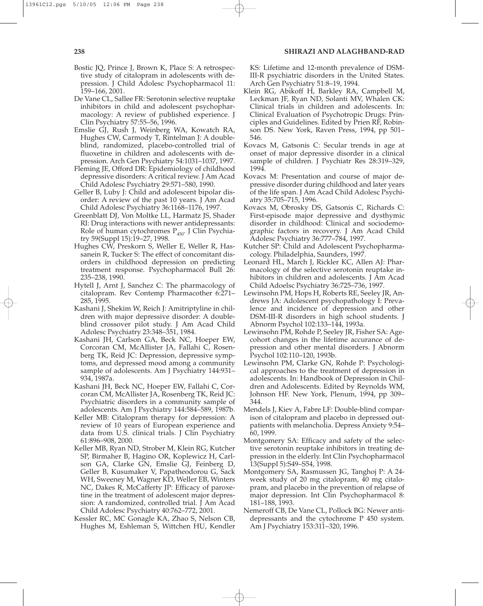- Bostic JQ, Prince J, Brown K, Place S: A retrospective study of citalopram in adolescents with depression. J Child Adolesc Psychopharmacol 11: 159–166, 2001.
- De Vane CL, Sallee FR: Serotonin selective reuptake inhibitors in child and adolescent psychopharmacology: A review of published experience. J Clin Psychiatry 57:55–56, 1996.
- Emslie GJ, Rush J, Weinberg WA, Kowatch RA, Hughes CW, Carmody T, Rintelman J: A doubleblind, randomized, placebo-controlled trial of fluoxetine in children and adolescents with depression. Arch Gen Psychiatry 54:1031–1037, 1997.
- Fleming JE, Offord DR: Epidemiology of childhood depressive disorders: A critical review. J Am Acad Child Adolesc Psychiatry 29:571–580, 1990.
- Geller B, Luby J: Child and adolescent bipolar disorder: A review of the past 10 years. J Am Acad Child Adolesc Psychiatry 36:1168–1176, 1997.
- Greenblatt DJ, Von Moltke LL, Harmatz JS, Shader RI: Drug interactions with newer antidepressants: Role of human cytochromes  $P_{450}$ . J Clin Psychiatry 59(Suppl 15):19–27, 1998.
- Hughes CW, Preskorn S, Weller E, Weller R, Hassanein R, Tucker S: The effect of concomitant disorders in childhood depression on predicting treatment response. Psychopharmacol Bull 26: 235–238, 1990.
- Hytell J, Arnt J, Sanchez C: The pharmacology of citalopram. Rev Contemp Pharmacother 6:271– 285, 1995.
- Kashani J, Shekim W, Reich J: Amitriptyline in children with major depressive disorder: A doubleblind crossover pilot study. J Am Acad Child Adolesc Psychiatry 23:348–351, 1984.
- Kashani JH, Carlson GA, Beck NC, Hoeper EW, Corcoran CM, McAllister JA, Fallahi C, Rosenberg TK, Reid JC: Depression, depressive symptoms, and depressed mood among a community sample of adolescents. Am J Psychiatry 144:931– 934, 1987a.
- Kashani JH, Beck NC, Hoeper EW, Fallahi C, Corcoran CM, McAllister JA, Rosenberg TK, Reid JC: Psychiatric disorders in a community sample of adolescents. Am J Psychiatry 144:584–589, 1987b.
- Keller MB: Citalopram therapy for depression: A review of 10 years of European experience and data from U.S. clinical trials. J Clin Psychiatry 61:896–908, 2000.
- Keller MB, Ryan ND, Strober M, Klein RG, Kutcher SP, Birmaher B, Hagino OR, Koplewicz H, Carlson GA, Clarke GN, Emslie GJ, Feinberg D, Geller B, Kusumaker V, Papatheodorou G, Sack WH, Sweeney M, Wagner KD, Weller EB, Winters NC, Dakes R, McCafferty JP: Efficacy of paroxetine in the treatment of adolescent major depression: A randomized, controlled trial. J Am Acad Child Adolesc Psychiatry 40:762–772, 2001.
- Kessler RC, MC Gonagle KA, Zhao S, Nelson CB, Hughes M, Eshleman S, Wittchen HU, Kendler

KS: Lifetime and 12-month prevalence of DSM-III-R psychiatric disorders in the United States. Arch Gen Psychiatry 51:8–19, 1994.

- Klein RG, Abikoff H, Barkley RA, Campbell M, Leckman JF, Ryan ND, Solanti MV, Whalen CK: Clinical trials in children and adolescents. In: Clinical Evaluation of Psychotropic Drugs: Principles and Guidelines. Edited by Prien RF, Robinson DS. New York, Raven Press, 1994, pp 501– 546.
- Kovacs M, Gatsonis C: Secular trends in age at onset of major depressive disorder in a clinical sample of children. J Psychiatr Res 28:319–329, 1994.
- Kovacs M: Presentation and course of major depressive disorder during childhood and later years of the life span. J Am Acad Child Adolesc Psychiatry 35:705–715, 1996.
- Kovacs M, Obrosky DS, Gatsonis C, Richards C: First-episode major depressive and dysthymic disorder in childhood: Clinical and sociodemographic factors in recovery. J Am Acad Child Adolesc Psychiatry 36:777–784, 1997.
- Kutcher SP: Child and Adolescent Psychopharmacology. Philadelphia, Saunders, 1997.
- Leonard HL, March J, Rickler KC, Allen AJ: Pharmacology of the selective serotonin reuptake inhibitors in children and adolescents. J Am Acad Child Adoelsc Psychiatry 36:725–736, 1997.
- Lewinsohn PM, Hops H, Roberts RE, Seeley JR, Andrews JA: Adolescent psychopathology I: Prevalence and incidence of depression and other DSM-III-R disorders in high school students. J Abnorm Psychol 102:133–144, 1993a.
- Lewinsohn PM, Rohde P, Seeley JR, Fisher SA: Agecohort changes in the lifetime accurance of depression and other mental disorders. J Abnorm Psychol 102:110–120, 1993b.
- Lewinsohn PM, Clarke GN, Rohde P: Psychological approaches to the treatment of depression in adolescents. In: Handbook of Depression in Children and Adolescents. Edited by Reynolds WM, Johnson HF. New York, Plenum, 1994, pp 309– 344.
- Mendels J, Kiev A, Fabre LF: Double-blind comparison of citalopram and placebo in depressed outpatients with melancholia. Depress Anxiety 9:54– 60, 1999.
- Montgomery SA: Efficacy and safety of the selective serotonin reuptake inhibitors in treating depression in the elderly. Int Clin Psychopharmacol 13(Suppl 5):S49–S54, 1998.
- Montgomery SA, Rasmussen JG, Tanghoj P: A 24 week study of 20 mg citalopram, 40 mg citalopram, and placebo in the prevention of relapse of major depression. Int Clin Psychopharmacol 8: 181–188, 1993.
- Nemeroff CB, De Vane CL, Pollock BG: Newer antidepressants and the cytochrome P 450 system. Am J Psychiatry 153:311–320, 1996.